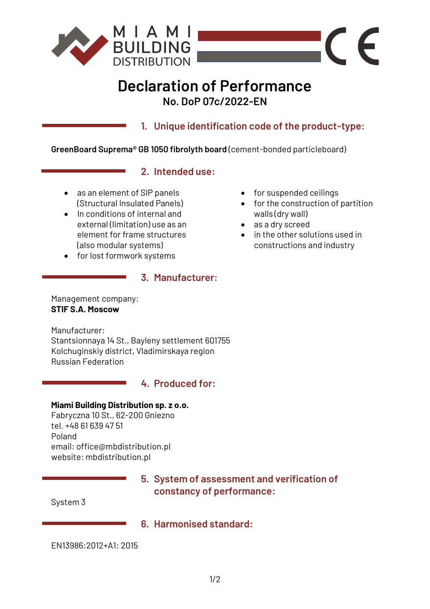

# **Declaration of Performance No. DoP 07c/2022-EN**

**1. Unique identification code of the product-type:**

**GreenBoard Suprema® GB 1050 fibrolyth board** (cement-bonded particleboard)

## **2. Intended use:**

- as an element of SIP panels (Structural Insulated Panels)
- In conditions of internal and external (limitation) use as an element for frame structures (also modular systems)
- for lost formwork systems

### **3. Manufacturer:**

Management company: **STIF S.A. Moscow**

Manufacturer: Stantsionnaya 14 St., Bayleny settlement 601755 Kolchuginskiy district, Vladimirskaya region Russian Federation

## **4. Produced for:**

#### **Miami Building Distribution sp. z o.o.**

Fabryczna 10 St., 62-200 Gniezno tel. +48 61 639 47 51 Poland email: office@mbdistribution.pl website: mbdistribution.pl

> **5. System of assessment and verification of constancy of performance:**

System 3

# **6. Harmonised standard:**

EN13986:2012+A1: 2015

- for suspended ceilings
- for the construction of partition walls (dry wall)

 $\epsilon$ 

- as a dry screed
- in the other solutions used in constructions and industry